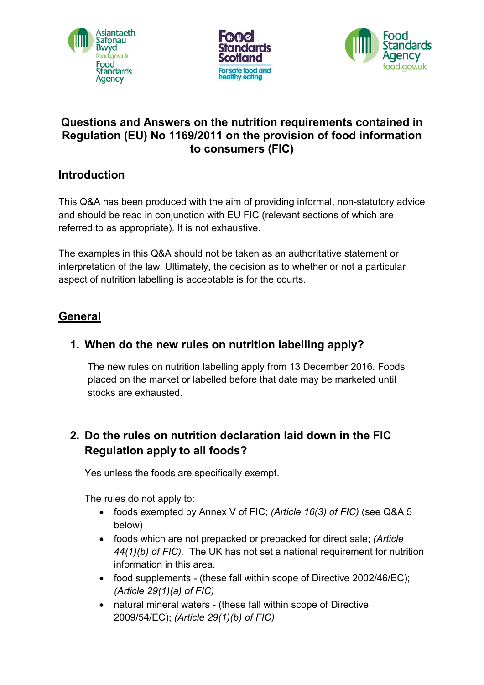





### **Questions and Answers on the nutrition requirements contained in Regulation (EU) No 1169/2011 on the provision of food information to consumers (FIC)**

#### **Introduction**

This Q&A has been produced with the aim of providing informal, non-statutory advice and should be read in conjunction with EU FIC (relevant sections of which are referred to as appropriate). It is not exhaustive.

The examples in this Q&A should not be taken as an authoritative statement or interpretation of the law. Ultimately, the decision as to whether or not a particular aspect of nutrition labelling is acceptable is for the courts.

## **General**

## **1. When do the new rules on nutrition labelling apply?**

The new rules on nutrition labelling apply from 13 December 2016. Foods placed on the market or labelled before that date may be marketed until stocks are exhausted.

## **2. Do the rules on nutrition declaration laid down in the FIC Regulation apply to all foods?**

Yes unless the foods are specifically exempt.

The rules do not apply to:

- foods exempted by Annex V of FIC; *(Article 16(3) of FIC)* (see Q&A 5 below)
- foods which are not prepacked or prepacked for direct sale; *(Article 44(1)(b) of FIC).* The UK has not set a national requirement for nutrition information in this area.
- food supplements (these fall within scope of Directive 2002/46/EC); *(Article 29(1)(a) of FIC)*
- natural mineral waters (these fall within scope of Directive 2009/54/EC); *(Article 29(1)(b) of FIC)*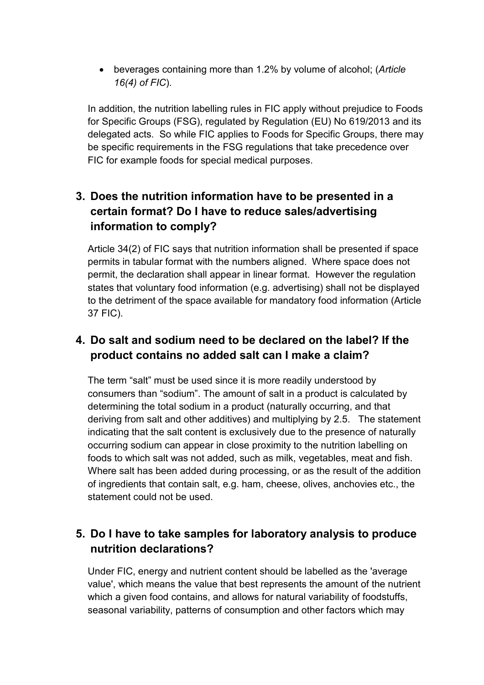• beverages containing more than 1.2% by volume of alcohol; (*Article 16(4) of FIC*).

In addition, the nutrition labelling rules in FIC apply without prejudice to Foods for Specific Groups (FSG), regulated by Regulation (EU) No 619/2013 and its delegated acts. So while FIC applies to Foods for Specific Groups, there may be specific requirements in the FSG regulations that take precedence over FIC for example foods for special medical purposes.

## **3. Does the nutrition information have to be presented in a certain format? Do I have to reduce sales/advertising information to comply?**

Article 34(2) of FIC says that nutrition information shall be presented if space permits in tabular format with the numbers aligned. Where space does not permit, the declaration shall appear in linear format. However the regulation states that voluntary food information (e.g. advertising) shall not be displayed to the detriment of the space available for mandatory food information (Article 37 FIC).

## **4. Do salt and sodium need to be declared on the label? If the product contains no added salt can I make a claim?**

The term "salt" must be used since it is more readily understood by consumers than "sodium". The amount of salt in a product is calculated by determining the total sodium in a product (naturally occurring, and that deriving from salt and other additives) and multiplying by 2.5. The statement indicating that the salt content is exclusively due to the presence of naturally occurring sodium can appear in close proximity to the nutrition labelling on foods to which salt was not added, such as milk, vegetables, meat and fish. Where salt has been added during processing, or as the result of the addition of ingredients that contain salt, e.g. ham, cheese, olives, anchovies etc., the statement could not be used.

## **5. Do I have to take samples for laboratory analysis to produce nutrition declarations?**

Under FIC, energy and nutrient content should be labelled as the 'average value', which means the value that best represents the amount of the nutrient which a given food contains, and allows for natural variability of foodstuffs, seasonal variability, patterns of consumption and other factors which may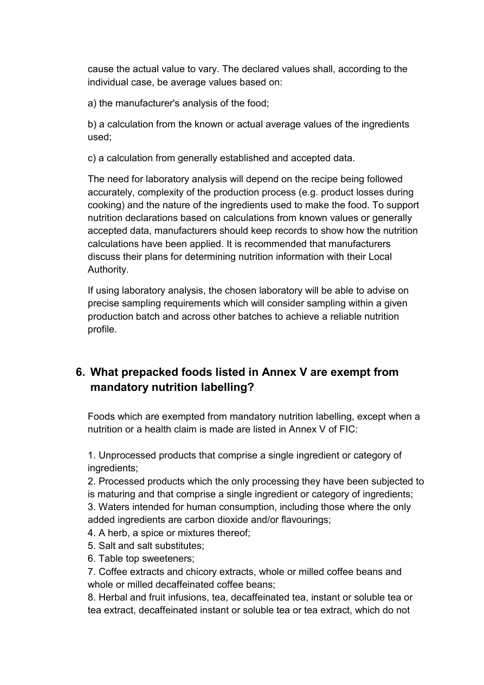cause the actual value to vary. The declared values shall, according to the individual case, be average values based on:

a) the manufacturer's analysis of the food;

b) a calculation from the known or actual average values of the ingredients used;

c) a calculation from generally established and accepted data.

The need for laboratory analysis will depend on the recipe being followed accurately, complexity of the production process (e.g. product losses during cooking) and the nature of the ingredients used to make the food. To support nutrition declarations based on calculations from known values or generally accepted data, manufacturers should keep records to show how the nutrition calculations have been applied. It is recommended that manufacturers discuss their plans for determining nutrition information with their Local Authority.

If using laboratory analysis, the chosen laboratory will be able to advise on precise sampling requirements which will consider sampling within a given production batch and across other batches to achieve a reliable nutrition profile.

# **6. What prepacked foods listed in Annex V are exempt from mandatory nutrition labelling?**

Foods which are exempted from mandatory nutrition labelling, except when a nutrition or a health claim is made are listed in Annex V of FIC:

1. Unprocessed products that comprise a single ingredient or category of ingredients;

2. Processed products which the only processing they have been subjected to is maturing and that comprise a single ingredient or category of ingredients;

3. Waters intended for human consumption, including those where the only added ingredients are carbon dioxide and/or flavourings;

- 4. A herb, a spice or mixtures thereof;
- 5. Salt and salt substitutes;
- 6. Table top sweeteners;

7. Coffee extracts and chicory extracts, whole or milled coffee beans and whole or milled decaffeinated coffee beans;

8. Herbal and fruit infusions, tea, decaffeinated tea, instant or soluble tea or tea extract, decaffeinated instant or soluble tea or tea extract, which do not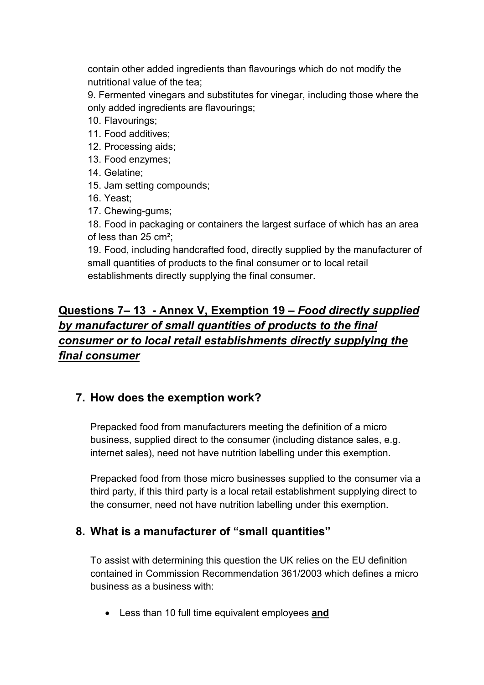contain other added ingredients than flavourings which do not modify the nutritional value of the tea;

9. Fermented vinegars and substitutes for vinegar, including those where the only added ingredients are flavourings;

- 10. Flavourings;
- 11. Food additives;
- 12. Processing aids;
- 13. Food enzymes;
- 14. Gelatine;
- 15. Jam setting compounds;
- 16. Yeast;
- 17. Chewing-gums;

18. Food in packaging or containers the largest surface of which has an area of less than 25 cm²;

19. Food, including handcrafted food, directly supplied by the manufacturer of small quantities of products to the final consumer or to local retail establishments directly supplying the final consumer.

# **Questions 7– 13 - Annex V, Exemption 19 –** *Food directly supplied by manufacturer of small quantities of products to the final consumer or to local retail establishments directly supplying the final consumer*

## **7. How does the exemption work?**

Prepacked food from manufacturers meeting the definition of a micro business, supplied direct to the consumer (including distance sales, e.g. internet sales), need not have nutrition labelling under this exemption.

Prepacked food from those micro businesses supplied to the consumer via a third party, if this third party is a local retail establishment supplying direct to the consumer, need not have nutrition labelling under this exemption.

## **8. What is a manufacturer of "small quantities"**

To assist with determining this question the UK relies on the EU definition contained in Commission Recommendation 361/2003 which defines a micro business as a business with:

• Less than 10 full time equivalent employees **and**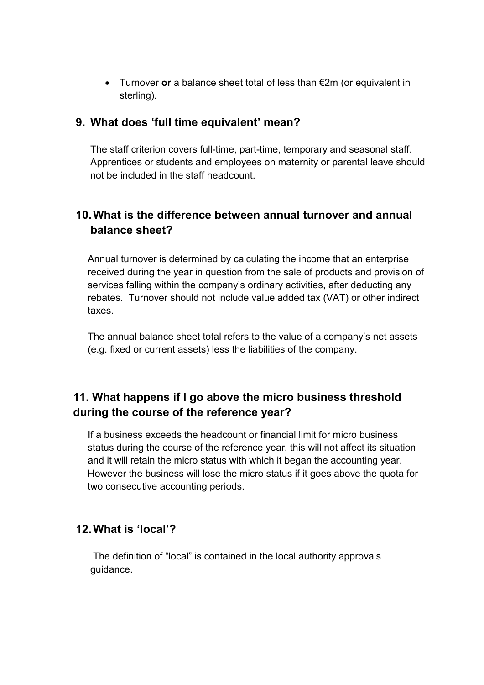• Turnover **or** a balance sheet total of less than €2m (or equivalent in sterling).

#### **9. What does 'full time equivalent' mean?**

The staff criterion covers full-time, part-time, temporary and seasonal staff. Apprentices or students and employees on maternity or parental leave should not be included in the staff headcount.

## **10.What is the difference between annual turnover and annual balance sheet?**

Annual turnover is determined by calculating the income that an enterprise received during the year in question from the sale of products and provision of services falling within the company's ordinary activities, after deducting any rebates. Turnover should not include value added tax (VAT) or other indirect taxes.

The annual balance sheet total refers to the value of a company's net assets (e.g. fixed or current assets) less the liabilities of the company.

## **11. What happens if I go above the micro business threshold during the course of the reference year?**

If a business exceeds the headcount or financial limit for micro business status during the course of the reference year, this will not affect its situation and it will retain the micro status with which it began the accounting year. However the business will lose the micro status if it goes above the quota for two consecutive accounting periods.

#### **12.What is 'local'?**

 The definition of "local" is contained in the local authority approvals guidance.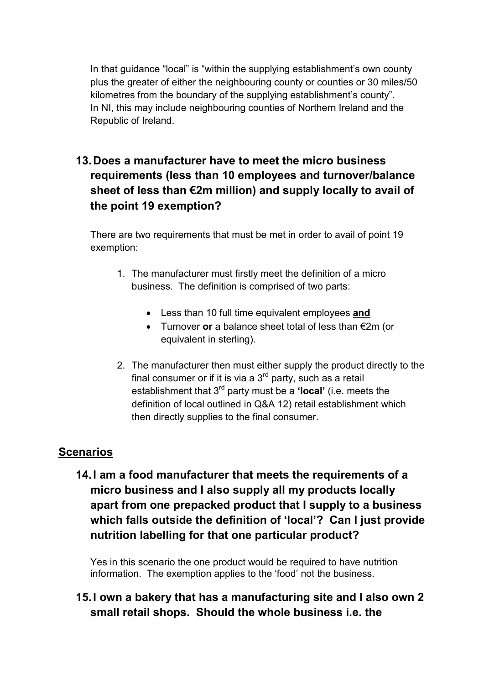In that guidance "local" is "within the supplying establishment's own county plus the greater of either the neighbouring county or counties or 30 miles/50 kilometres from the boundary of the supplying establishment's county". In NI, this may include neighbouring counties of Northern Ireland and the Republic of Ireland.

# **13.Does a manufacturer have to meet the micro business requirements (less than 10 employees and turnover/balance sheet of less than €2m million) and supply locally to avail of the point 19 exemption?**

There are two requirements that must be met in order to avail of point 19 exemption:

- 1. The manufacturer must firstly meet the definition of a micro business. The definition is comprised of two parts:
	- Less than 10 full time equivalent employees **and**
	- Turnover **or** a balance sheet total of less than €2m (or equivalent in sterling).
- 2. The manufacturer then must either supply the product directly to the final consumer or if it is via a  $3<sup>rd</sup>$  party, such as a retail establishment that 3rd party must be a **'local'** (i.e. meets the definition of local outlined in Q&A 12) retail establishment which then directly supplies to the final consumer.

## **Scenarios**

**14.I am a food manufacturer that meets the requirements of a micro business and I also supply all my products locally apart from one prepacked product that I supply to a business which falls outside the definition of 'local'? Can I just provide nutrition labelling for that one particular product?**

Yes in this scenario the one product would be required to have nutrition information. The exemption applies to the 'food' not the business.

**15.I own a bakery that has a manufacturing site and I also own 2 small retail shops. Should the whole business i.e. the**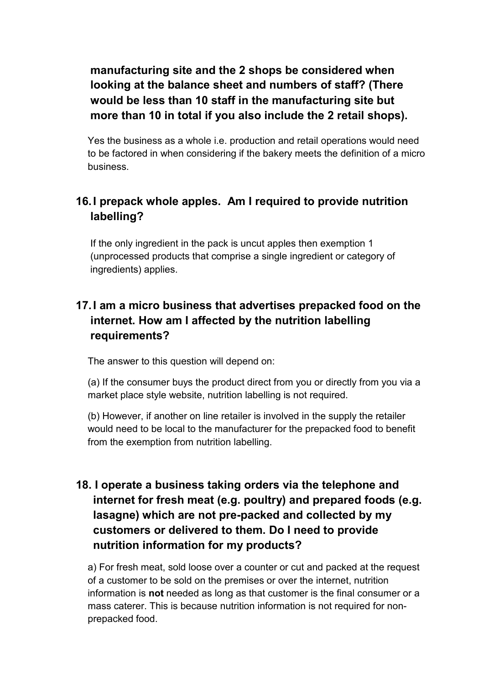**manufacturing site and the 2 shops be considered when looking at the balance sheet and numbers of staff? (There would be less than 10 staff in the manufacturing site but more than 10 in total if you also include the 2 retail shops).**

Yes the business as a whole i.e. production and retail operations would need to be factored in when considering if the bakery meets the definition of a micro business.

## **16.I prepack whole apples. Am I required to provide nutrition labelling?**

If the only ingredient in the pack is uncut apples then exemption 1 (unprocessed products that comprise a single ingredient or category of ingredients) applies.

## **17.I am a micro business that advertises prepacked food on the internet. How am I affected by the nutrition labelling requirements?**

The answer to this question will depend on:

(a) If the consumer buys the product direct from you or directly from you via a market place style website, nutrition labelling is not required.

(b) However, if another on line retailer is involved in the supply the retailer would need to be local to the manufacturer for the prepacked food to benefit from the exemption from nutrition labelling.

# **18. I operate a business taking orders via the telephone and internet for fresh meat (e.g. poultry) and prepared foods (e.g. lasagne) which are not pre-packed and collected by my customers or delivered to them. Do I need to provide nutrition information for my products?**

a) For fresh meat, sold loose over a counter or cut and packed at the request of a customer to be sold on the premises or over the internet, nutrition information is **not** needed as long as that customer is the final consumer or a mass caterer. This is because nutrition information is not required for nonprepacked food.